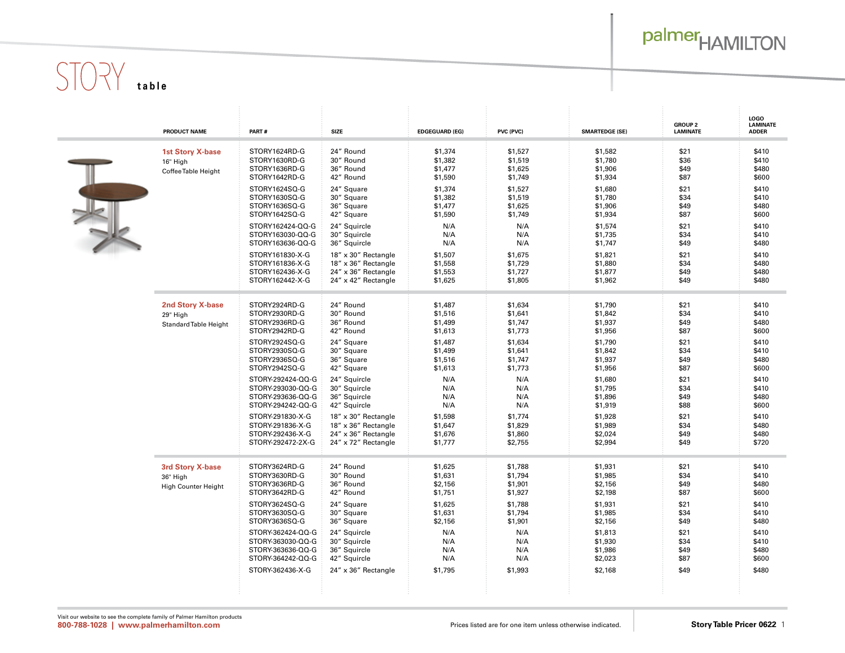## palmer<sub>HAMILTON</sub>

# $STOY$  table

|  | PRODUCT NAME                                                 | PART#                                                                            | <b>SIZE</b>                                                                              | <b>EDGEGUARD (EG)</b>                    | PVC (PVC)                                | <b>SMARTEDGE (SE)</b>                    | <b>GROUP 2</b><br><b>LAMINATE</b> | <b>LOGO</b><br><b>LAMINATE</b><br><b>ADDER</b> |
|--|--------------------------------------------------------------|----------------------------------------------------------------------------------|------------------------------------------------------------------------------------------|------------------------------------------|------------------------------------------|------------------------------------------|-----------------------------------|------------------------------------------------|
|  | <b>1st Story X-base</b><br>16" High<br>Coffee Table Height   | STORY1624RD-G<br>STORY1630RD-G<br>STORY1636RD-G<br>STORY1642RD-G                 | 24" Round<br>30" Round<br>36" Round<br>42" Round                                         | \$1,374<br>\$1,382<br>\$1,477<br>\$1,590 | \$1,527<br>\$1,519<br>\$1,625<br>\$1,749 | \$1,582<br>\$1,780<br>\$1,906<br>\$1,934 | \$21<br>\$36<br>\$49<br>\$87      | \$410<br>\$410<br>\$480<br>\$600               |
|  |                                                              | STORY1624SQ-G<br>STORY1630SQ-G<br>STORY1636SQ-G<br>STORY1642SQ-G                 | 24" Square<br>30" Square<br>36" Square<br>42" Square                                     | \$1,374<br>\$1,382<br>\$1,477<br>\$1,590 | \$1,527<br>\$1,519<br>\$1,625<br>\$1,749 | \$1,680<br>\$1,780<br>\$1,906<br>\$1,934 | \$21<br>\$34<br>\$49<br>\$87      | \$410<br>\$410<br>\$480<br>\$600               |
|  |                                                              | STORY162424-QQ-G<br>STORY163030-QQ-G<br>STORY163636-QQ-G                         | 24" Squircle<br>30" Squircle<br>36" Squircle                                             | N/A<br>N/A<br>N/A                        | N/A<br>N/A<br>N/A                        | \$1,574<br>\$1,735<br>\$1,747            | \$21<br>\$34<br>\$49              | \$410<br>\$410<br>\$480                        |
|  |                                                              | STORY161830-X-G<br>STORY161836-X-G<br>STORY162436-X-G<br>STORY162442-X-G         | 18" x 30" Rectangle<br>18" x 36" Rectangle<br>24" x 36" Rectangle<br>24" x 42" Rectangle | \$1,507<br>\$1,558<br>\$1,553<br>\$1,625 | \$1,675<br>\$1,729<br>\$1,727<br>\$1,805 | \$1,821<br>\$1,880<br>\$1,877<br>\$1,962 | \$21<br>\$34<br>\$49<br>\$49      | \$410<br>\$480<br>\$480<br>\$480               |
|  | <b>2nd Story X-base</b><br>29" High<br>Standard Table Height | STORY2924RD-G<br>STORY2930RD-G<br>STORY2936RD-G<br>STORY2942RD-G                 | 24" Round<br>30" Round<br>36" Round<br>42" Round                                         | \$1,487<br>\$1,516<br>\$1,499<br>\$1,613 | \$1,634<br>\$1,641<br>\$1,747<br>\$1,773 | \$1,790<br>\$1,842<br>\$1,937<br>\$1,956 | \$21<br>\$34<br>\$49<br>\$87      | \$410<br>\$410<br>\$480<br>\$600               |
|  |                                                              | STORY2924SQ-G<br>STORY2930SQ-G<br>STORY2936SQ-G<br>STORY2942SQ-G                 | 24" Square<br>30" Square<br>36" Square<br>42" Square                                     | \$1,487<br>\$1,499<br>\$1,516<br>\$1,613 | \$1,634<br>\$1,641<br>\$1,747<br>\$1,773 | \$1,790<br>\$1,842<br>\$1,937<br>\$1,956 | \$21<br>\$34<br>\$49<br>\$87      | \$410<br>\$410<br>\$480<br>\$600               |
|  |                                                              | STORY-292424-QQ-G<br>STORY-293030-QQ-G<br>STORY-293636-QQ-G<br>STORY-294242-QQ-G | 24" Squircle<br>30" Squircle<br>36" Squircle<br>42" Squircle                             | N/A<br>N/A<br>N/A<br>N/A                 | N/A<br>N/A<br>N/A<br>N/A                 | \$1,680<br>\$1,795<br>\$1,896<br>\$1,919 | \$21<br>\$34<br>\$49<br>\$88      | \$410<br>\$410<br>\$480<br>\$600               |
|  |                                                              | STORY-291830-X-G<br>STORY-291836-X-G<br>STORY-292436-X-G<br>STORY-292472-2X-G    | 18" x 30" Rectangle<br>18" x 36" Rectangle<br>24" x 36" Rectangle<br>24" x 72" Rectangle | \$1,598<br>\$1,647<br>\$1,676<br>\$1,777 | \$1,774<br>\$1,829<br>\$1,860<br>\$2,755 | \$1,928<br>\$1,989<br>\$2,024<br>\$2,994 | \$21<br>\$34<br>\$49<br>\$49      | \$410<br>\$480<br>\$480<br>\$720               |
|  | 3rd Story X-base<br>36" High<br>High Counter Height          | STORY3624RD-G<br>STORY3630RD-G<br>STORY3636RD-G<br>STORY3642RD-G                 | 24" Round<br>30" Round<br>36" Round<br>42" Round                                         | \$1,625<br>\$1,631<br>\$2,156<br>\$1,751 | \$1,788<br>\$1,794<br>\$1,901<br>\$1,927 | \$1,931<br>\$1,985<br>\$2,156<br>\$2,198 | \$21<br>\$34<br>\$49<br>\$87      | \$410<br>\$410<br>\$480<br>\$600               |
|  |                                                              | STORY3624SQ-G<br>STORY3630SQ-G<br>STORY3636SQ-G                                  | 24" Square<br>30" Square<br>36" Square                                                   | \$1,625<br>\$1,631<br>\$2,156            | \$1,788<br>\$1,794<br>\$1,901            | \$1,931<br>\$1,985<br>\$2,156            | \$21<br>\$34<br>\$49              | \$410<br>\$410<br>\$480                        |
|  |                                                              | STORY-362424-QQ-G<br>STORY-363030-QQ-G<br>STORY-363636-QQ-G<br>STORY-364242-QQ-G | 24" Squircle<br>30" Squircle<br>36" Squircle<br>42" Squircle                             | N/A<br>N/A<br>N/A<br>N/A                 | N/A<br>N/A<br>N/A<br>N/A                 | \$1,813<br>\$1,930<br>\$1,986<br>\$2,023 | \$21<br>\$34<br>\$49<br>\$87      | \$410<br>\$410<br>\$480<br>\$600               |
|  |                                                              | STORY-362436-X-G                                                                 | 24" x 36" Rectangle                                                                      | \$1,795                                  | \$1,993                                  | \$2,168                                  | \$49                              | \$480                                          |

m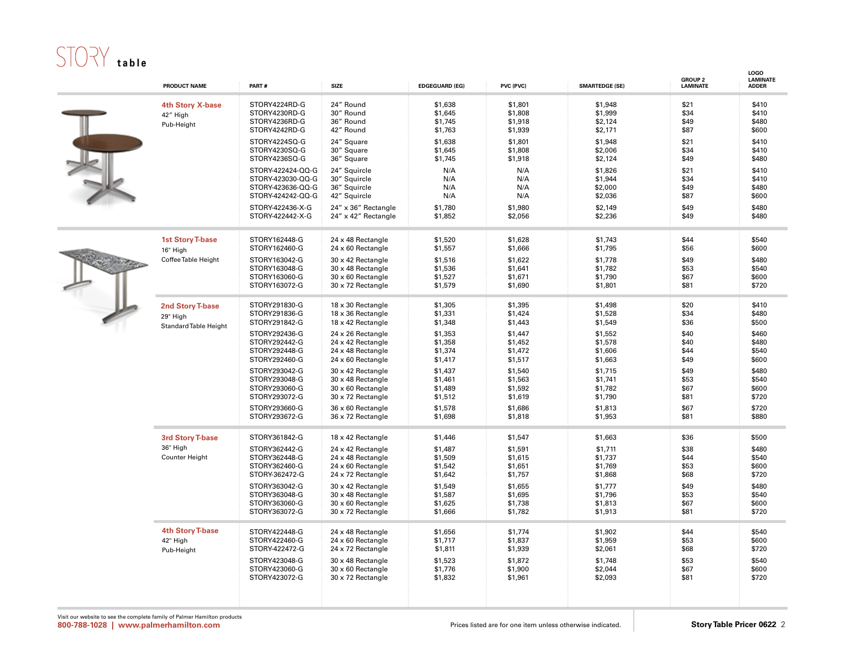### STORY table

|  | <b>PRODUCT NAME</b>                                                 | PART#                                                                              | <b>SIZE</b>                                                                                           | <b>EDGEGUARD (EG)</b>                               | PVC (PVC)                                           | <b>SMARTEDGE (SE)</b>                               | <b>GROUP 2</b><br><b>LAMINATE</b>    | LOGO<br><b>LAMINATE</b><br><b>ADDER</b>   |
|--|---------------------------------------------------------------------|------------------------------------------------------------------------------------|-------------------------------------------------------------------------------------------------------|-----------------------------------------------------|-----------------------------------------------------|-----------------------------------------------------|--------------------------------------|-------------------------------------------|
|  | 4th Story X-base<br>42" High<br>Pub-Height                          | STORY4224RD-G<br>STORY4230RD-G<br>STORY4236RD-G<br>STORY4242RD-G                   | 24" Round<br>30" Round<br>36" Round<br>42" Round                                                      | \$1,638<br>\$1,645<br>\$1,745<br>\$1,763            | \$1,801<br>\$1,808<br>\$1,918<br>\$1,939            | \$1,948<br>\$1,999<br>\$2,124<br>\$2,171            | \$21<br>\$34<br>\$49<br>\$87         | \$410<br>\$410<br>\$480<br>\$600          |
|  |                                                                     | STORY4224SQ-G<br>STORY4230SQ-G<br>STORY4236SQ-G                                    | 24" Square<br>30" Square<br>36" Square                                                                | \$1,638<br>\$1,645<br>\$1,745                       | \$1,801<br>\$1,808<br>\$1,918                       | \$1,948<br>\$2,006<br>\$2,124                       | \$21<br>\$34<br>\$49                 | \$410<br>\$410<br>\$480                   |
|  |                                                                     | STORY-422424-QQ-G<br>STORY-423030-QQ-G<br>STORY-423636-QQ-G<br>STORY-424242-QQ-G   | 24" Sauircle<br>30" Squircle<br>36" Squircle<br>42" Squircle                                          | N/A<br>N/A<br>N/A<br>N/A                            | N/A<br>N/A<br>N/A<br>N/A                            | \$1,826<br>\$1,944<br>\$2,000<br>\$2,036            | \$21<br>\$34<br>\$49<br>\$87         | \$410<br>\$410<br>\$480<br>\$600          |
|  |                                                                     | STORY-422436-X-G<br>STORY-422442-X-G                                               | 24" x 36" Rectangle<br>24" x 42" Rectangle                                                            | \$1,780<br>\$1,852                                  | \$1,980<br>\$2,056                                  | \$2,149<br>\$2,236                                  | \$49<br>\$49                         | \$480<br>\$480                            |
|  | <b>1st Story T-base</b><br>16" High                                 | STORY162448-G<br>STORY162460-G                                                     | 24 x 48 Rectangle<br>24 x 60 Rectangle                                                                | \$1,520<br>\$1,557                                  | \$1,628<br>\$1,666                                  | \$1,743<br>\$1,795                                  | \$44<br>\$56                         | \$540<br>\$600                            |
|  | Coffee Table Height                                                 | STORY163042-G<br>STORY163048-G<br>STORY163060-G<br>STORY163072-G                   | 30 x 42 Rectangle<br>30 x 48 Rectangle<br>30 x 60 Rectangle<br>30 x 72 Rectangle                      | \$1,516<br>\$1,536<br>\$1,527<br>\$1,579            | \$1,622<br>\$1,641<br>\$1,671<br>\$1,690            | \$1,778<br>\$1,782<br>\$1,790<br>\$1,801            | \$49<br>\$53<br>\$67<br>\$81         | \$480<br>\$540<br>\$600<br>\$720          |
|  | <b>2nd Story T-base</b><br>29" High<br><b>Standard Table Height</b> | STORY291830-G<br>STORY291836-G<br>STORY291842-G                                    | 18 x 30 Rectangle<br>18 x 36 Rectangle<br>18 x 42 Rectangle                                           | \$1,305<br>\$1,331<br>\$1,348                       | \$1,395<br>\$1,424<br>\$1,443                       | \$1,498<br>\$1,528<br>\$1,549                       | \$20<br>\$34<br>\$36                 | \$410<br>\$480<br>\$500                   |
|  |                                                                     | STORY292436-G<br>STORY292442-G<br>STORY292448-G<br>STORY292460-G                   | 24 x 26 Rectangle<br>24 x 42 Rectangle<br>24 x 48 Rectangle<br>$24 \times 60$ Rectangle               | \$1,353<br>\$1,358<br>\$1,374<br>\$1,417            | \$1,447<br>\$1,452<br>\$1,472<br>\$1,517            | \$1,552<br>\$1,578<br>\$1,606<br>\$1,663            | \$40<br>\$40<br>\$44<br>\$49         | \$460<br>\$480<br>\$540<br>\$600          |
|  |                                                                     | STORY293042-G<br>STORY293048-G<br>STORY293060-G<br>STORY293072-G                   | 30 x 42 Rectangle<br>30 x 48 Rectangle<br>$30 \times 60$ Rectangle<br>30 x 72 Rectangle               | \$1,437<br>\$1,461<br>\$1,489<br>\$1,512            | \$1,540<br>\$1,563<br>\$1,592<br>\$1,619            | \$1,715<br>\$1,741<br>\$1,782<br>\$1,790            | \$49<br>\$53<br>\$67<br>\$81         | \$480<br>\$540<br>\$600<br>\$720          |
|  |                                                                     | STORY293660-G<br>STORY293672-G                                                     | 36 x 60 Rectangle<br>36 x 72 Rectangle                                                                | \$1,578<br>\$1,698                                  | \$1,686<br>\$1,818                                  | \$1,813<br>\$1,953                                  | \$67<br>\$81                         | \$720<br>\$880                            |
|  | <b>3rd Story T-base</b><br>36" High<br><b>Counter Height</b>        | STORY361842-G<br>STORY362442-G<br>STORY362448-G<br>STORY362460-G<br>STORY-362472-G | 18 x 42 Rectangle<br>24 x 42 Rectangle<br>24 x 48 Rectangle<br>24 x 60 Rectangle<br>24 x 72 Rectangle | \$1,446<br>\$1,487<br>\$1,509<br>\$1,542<br>\$1,642 | \$1,547<br>\$1,591<br>\$1,615<br>\$1,651<br>\$1,757 | \$1,663<br>\$1,711<br>\$1,737<br>\$1,769<br>\$1,868 | \$36<br>\$38<br>\$44<br>\$53<br>\$68 | \$500<br>\$480<br>\$540<br>\$600<br>\$720 |
|  |                                                                     | STORY363042-G<br>STORY363048-G<br>STORY363060-G<br>STORY363072-G                   | 30 x 42 Rectangle<br>30 x 48 Rectangle<br>$30 \times 60$ Rectangle<br>30 x 72 Rectangle               | \$1,549<br>\$1,587<br>\$1,625<br>\$1,666            | \$1,655<br>\$1,695<br>\$1,738<br>\$1,782            | \$1,777<br>\$1,796<br>\$1,813<br>\$1,913            | \$49<br>\$53<br>\$67<br>\$81         | \$480<br>\$540<br>\$600<br>\$720          |
|  | <b>4th Story T-base</b><br>42" High<br>Pub-Height                   | STORY422448-G<br>STORY422460-G<br>STORY-422472-G                                   | 24 x 48 Rectangle<br>24 x 60 Rectangle<br>24 x 72 Rectangle                                           | \$1,656<br>\$1,717<br>\$1,811                       | \$1,774<br>\$1,837<br>\$1,939                       | \$1,902<br>\$1,959<br>\$2,061                       | \$44<br>\$53<br>\$68                 | \$540<br>\$600<br>\$720                   |
|  |                                                                     | STORY423048-G<br>STORY423060-G<br>STORY423072-G                                    | 30 x 48 Rectangle<br>$30 \times 60$ Rectangle<br>30 x 72 Rectangle                                    | \$1,523<br>\$1,776<br>\$1,832                       | \$1,872<br>\$1,900<br>\$1,961                       | \$1,748<br>\$2,044<br>\$2,093                       | \$53<br>\$67<br>\$81                 | \$540<br>\$600<br>\$720                   |